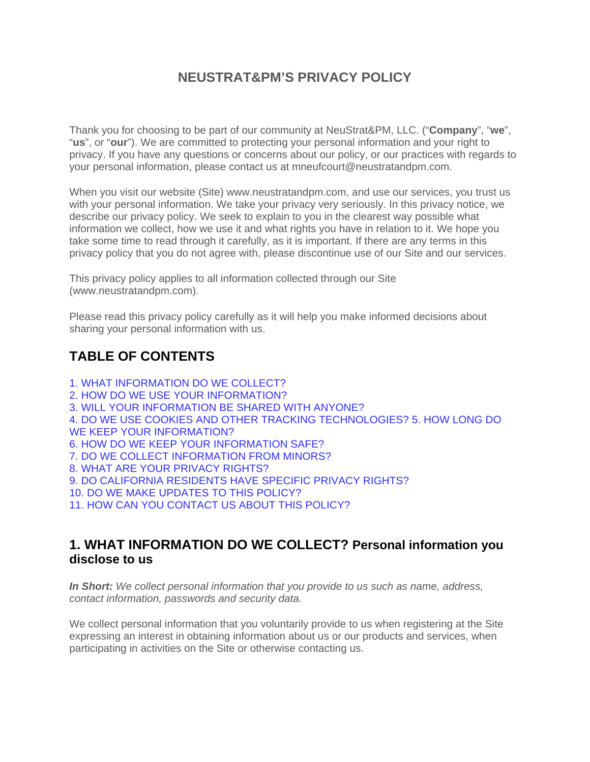### **NEUSTRAT&PM'S PRIVACY POLICY**

Thank you for choosing to be part of our community at NeuStrat&PM, LLC. ("**Company**", "**we**", "**us**", or "**our**"). We are committed to protecting your personal information and your right to privacy. If you have any questions or concerns about our policy, or our practices with regards to your personal information, please contact us at mneufcourt@neustratandpm.com.

When you visit our website (Site) www.neustratandpm.com, and use our services, you trust us with your personal information. We take your privacy very seriously. In this privacy notice, we describe our privacy policy. We seek to explain to you in the clearest way possible what information we collect, how we use it and what rights you have in relation to it. We hope you take some time to read through it carefully, as it is important. If there are any terms in this privacy policy that you do not agree with, please discontinue use of our Site and our services.

This privacy policy applies to all information collected through our Site (www.neustratandpm.com).

Please read this privacy policy carefully as it will help you make informed decisions about sharing your personal information with us.

## **TABLE OF CONTENTS**

1. WHAT INFORMATION DO WE COLLECT? 2. HOW DO WE USE YOUR INFORMATION? 3. WILL YOUR INFORMATION BE SHARED WITH ANYONE? 4. DO WE USE COOKIES AND OTHER TRACKING TECHNOLOGIES? 5. HOW LONG DO WE KEEP YOUR INFORMATION? 6. HOW DO WE KEEP YOUR INFORMATION SAFE? 7. DO WE COLLECT INFORMATION FROM MINORS? 8. WHAT ARE YOUR PRIVACY RIGHTS? 9. DO CALIFORNIA RESIDENTS HAVE SPECIFIC PRIVACY RIGHTS? 10. DO WE MAKE UPDATES TO THIS POLICY? 11. HOW CAN YOU CONTACT US ABOUT THIS POLICY?

#### **1. WHAT INFORMATION DO WE COLLECT? Personal information you disclose to us**

*In Short: We collect personal information that you provide to us such as name, address, contact information, passwords and security data.* 

We collect personal information that you voluntarily provide to us when registering at the Site expressing an interest in obtaining information about us or our products and services, when participating in activities on the Site or otherwise contacting us.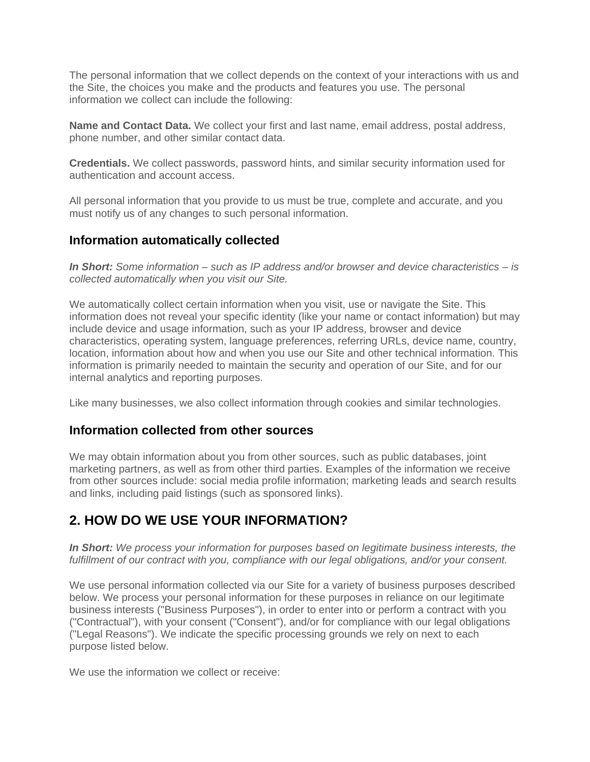The personal information that we collect depends on the context of your interactions with us and the Site, the choices you make and the products and features you use. The personal information we collect can include the following:

**Name and Contact Data.** We collect your first and last name, email address, postal address, phone number, and other similar contact data.

**Credentials.** We collect passwords, password hints, and similar security information used for authentication and account access.

All personal information that you provide to us must be true, complete and accurate, and you must notify us of any changes to such personal information.

#### **Information automatically collected**

*In Short: Some information – such as IP address and/or browser and device characteristics – is collected automatically when you visit our Site.* 

We automatically collect certain information when you visit, use or navigate the Site. This information does not reveal your specific identity (like your name or contact information) but may include device and usage information, such as your IP address, browser and device characteristics, operating system, language preferences, referring URLs, device name, country, location, information about how and when you use our Site and other technical information. This information is primarily needed to maintain the security and operation of our Site, and for our internal analytics and reporting purposes.

Like many businesses, we also collect information through cookies and similar technologies.

#### **Information collected from other sources**

We may obtain information about you from other sources, such as public databases, joint marketing partners, as well as from other third parties. Examples of the information we receive from other sources include: social media profile information; marketing leads and search results and links, including paid listings (such as sponsored links).

## **2. HOW DO WE USE YOUR INFORMATION?**

*In Short: We process your information for purposes based on legitimate business interests, the fulfillment of our contract with you, compliance with our legal obligations, and/or your consent.* 

We use personal information collected via our Site for a variety of business purposes described below. We process your personal information for these purposes in reliance on our legitimate business interests ("Business Purposes"), in order to enter into or perform a contract with you ("Contractual"), with your consent ("Consent"), and/or for compliance with our legal obligations ("Legal Reasons"). We indicate the specific processing grounds we rely on next to each purpose listed below.

We use the information we collect or receive: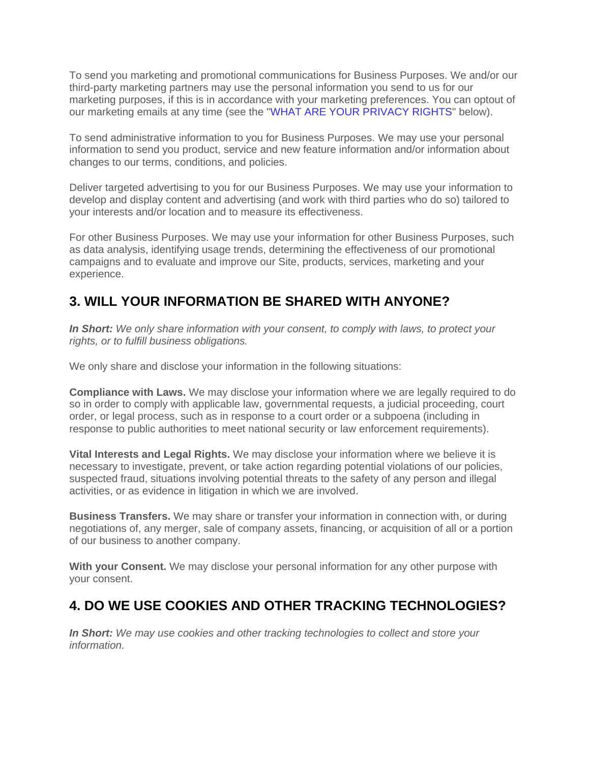To send you marketing and promotional communications for Business Purposes. We and/or our third-party marketing partners may use the personal information you send to us for our marketing purposes, if this is in accordance with your marketing preferences. You can optout of our marketing emails at any time (see the "WHAT ARE YOUR PRIVACY RIGHTS" below).

To send administrative information to you for Business Purposes. We may use your personal information to send you product, service and new feature information and/or information about changes to our terms, conditions, and policies.

Deliver targeted advertising to you for our Business Purposes. We may use your information to develop and display content and advertising (and work with third parties who do so) tailored to your interests and/or location and to measure its effectiveness.

For other Business Purposes. We may use your information for other Business Purposes, such as data analysis, identifying usage trends, determining the effectiveness of our promotional campaigns and to evaluate and improve our Site, products, services, marketing and your experience.

#### **3. WILL YOUR INFORMATION BE SHARED WITH ANYONE?**

*In Short: We only share information with your consent, to comply with laws, to protect your rights, or to fulfill business obligations.* 

We only share and disclose your information in the following situations:

**Compliance with Laws.** We may disclose your information where we are legally required to do so in order to comply with applicable law, governmental requests, a judicial proceeding, court order, or legal process, such as in response to a court order or a subpoena (including in response to public authorities to meet national security or law enforcement requirements).

**Vital Interests and Legal Rights.** We may disclose your information where we believe it is necessary to investigate, prevent, or take action regarding potential violations of our policies, suspected fraud, situations involving potential threats to the safety of any person and illegal activities, or as evidence in litigation in which we are involved.

**Business Transfers.** We may share or transfer your information in connection with, or during negotiations of, any merger, sale of company assets, financing, or acquisition of all or a portion of our business to another company.

**With your Consent.** We may disclose your personal information for any other purpose with your consent.

#### **4. DO WE USE COOKIES AND OTHER TRACKING TECHNOLOGIES?**

*In Short: We may use cookies and other tracking technologies to collect and store your information.*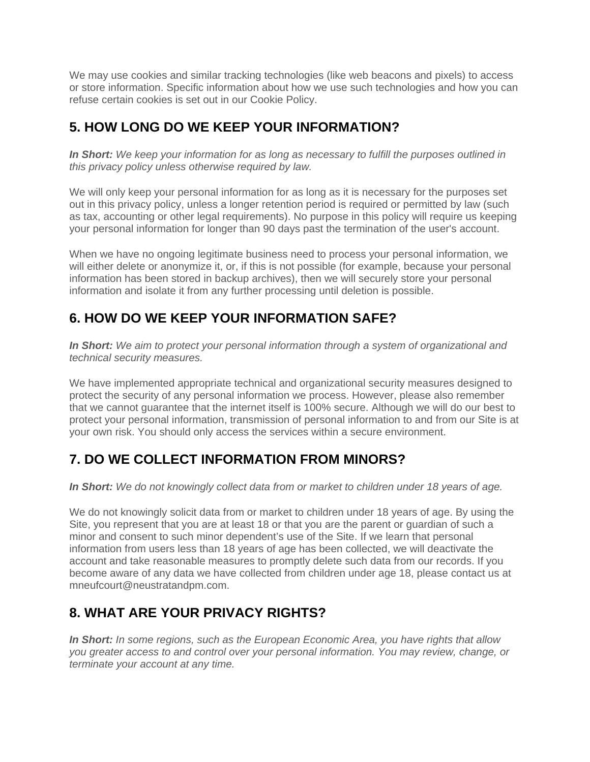We may use cookies and similar tracking technologies (like web beacons and pixels) to access or store information. Specific information about how we use such technologies and how you can refuse certain cookies is set out in our Cookie Policy.

## **5. HOW LONG DO WE KEEP YOUR INFORMATION?**

*In Short: We keep your information for as long as necessary to fulfill the purposes outlined in this privacy policy unless otherwise required by law.* 

We will only keep your personal information for as long as it is necessary for the purposes set out in this privacy policy, unless a longer retention period is required or permitted by law (such as tax, accounting or other legal requirements). No purpose in this policy will require us keeping your personal information for longer than 90 days past the termination of the user's account.

When we have no ongoing legitimate business need to process your personal information, we will either delete or anonymize it, or, if this is not possible (for example, because your personal information has been stored in backup archives), then we will securely store your personal information and isolate it from any further processing until deletion is possible.

# **6. HOW DO WE KEEP YOUR INFORMATION SAFE?**

*In Short: We aim to protect your personal information through a system of organizational and technical security measures.* 

We have implemented appropriate technical and organizational security measures designed to protect the security of any personal information we process. However, please also remember that we cannot guarantee that the internet itself is 100% secure. Although we will do our best to protect your personal information, transmission of personal information to and from our Site is at your own risk. You should only access the services within a secure environment.

# **7. DO WE COLLECT INFORMATION FROM MINORS?**

*In Short: We do not knowingly collect data from or market to children under 18 years of age.* 

We do not knowingly solicit data from or market to children under 18 years of age. By using the Site, you represent that you are at least 18 or that you are the parent or guardian of such a minor and consent to such minor dependent's use of the Site. If we learn that personal information from users less than 18 years of age has been collected, we will deactivate the account and take reasonable measures to promptly delete such data from our records. If you become aware of any data we have collected from children under age 18, please contact us at mneufcourt@neustratandpm.com.

# **8. WHAT ARE YOUR PRIVACY RIGHTS?**

*In Short: In some regions, such as the European Economic Area, you have rights that allow you greater access to and control over your personal information. You may review, change, or terminate your account at any time.*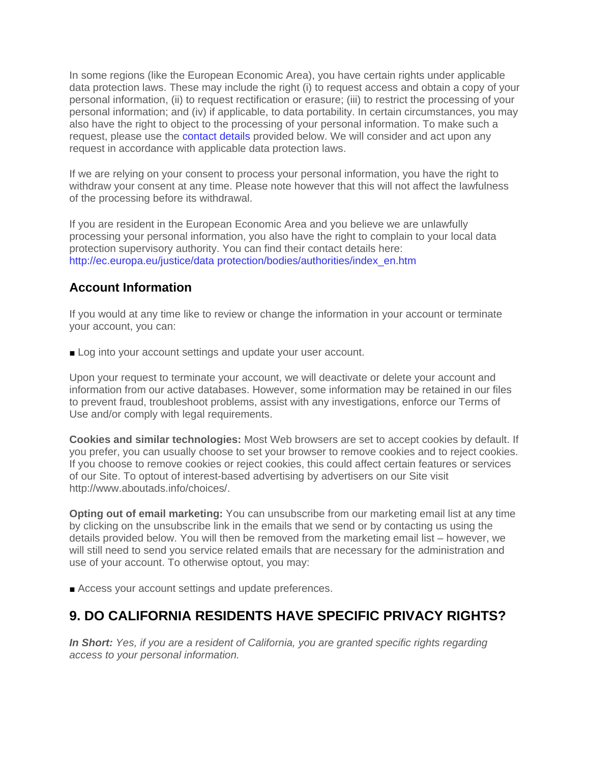In some regions (like the European Economic Area), you have certain rights under applicable data protection laws. These may include the right (i) to request access and obtain a copy of your personal information, (ii) to request rectification or erasure; (iii) to restrict the processing of your personal information; and (iv) if applicable, to data portability. In certain circumstances, you may also have the right to object to the processing of your personal information. To make such a request, please use the contact details provided below. We will consider and act upon any request in accordance with applicable data protection laws.

If we are relying on your consent to process your personal information, you have the right to withdraw your consent at any time. Please note however that this will not affect the lawfulness of the processing before its withdrawal.

If you are resident in the European Economic Area and you believe we are unlawfully processing your personal information, you also have the right to complain to your local data protection supervisory authority. You can find their contact details here: http://ec.europa.eu/justice/data protection/bodies/authorities/index\_en.htm

#### **Account Information**

If you would at any time like to review or change the information in your account or terminate your account, you can:

■ Log into your account settings and update your user account.

Upon your request to terminate your account, we will deactivate or delete your account and information from our active databases. However, some information may be retained in our files to prevent fraud, troubleshoot problems, assist with any investigations, enforce our Terms of Use and/or comply with legal requirements.

**Cookies and similar technologies:** Most Web browsers are set to accept cookies by default. If you prefer, you can usually choose to set your browser to remove cookies and to reject cookies. If you choose to remove cookies or reject cookies, this could affect certain features or services of our Site. To optout of interest-based advertising by advertisers on our Site visit http://www.aboutads.info/choices/.

**Opting out of email marketing:** You can unsubscribe from our marketing email list at any time by clicking on the unsubscribe link in the emails that we send or by contacting us using the details provided below. You will then be removed from the marketing email list – however, we will still need to send you service related emails that are necessary for the administration and use of your account. To otherwise optout, you may:

■ Access your account settings and update preferences.

## **9. DO CALIFORNIA RESIDENTS HAVE SPECIFIC PRIVACY RIGHTS?**

*In Short: Yes, if you are a resident of California, you are granted specific rights regarding access to your personal information.*